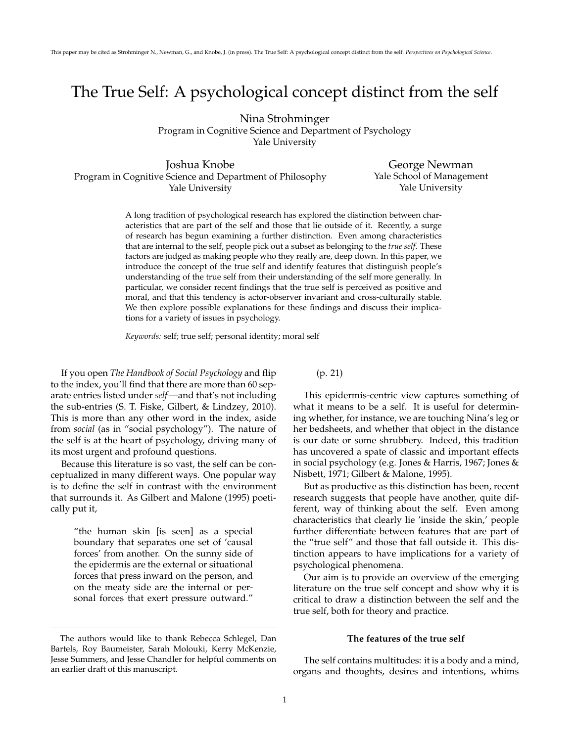# The True Self: A psychological concept distinct from the self

Nina Strohminger

Program in Cognitive Science and Department of Psychology Yale University

Joshua Knobe Program in Cognitive Science and Department of Philosophy Yale University

George Newman Yale School of Management Yale University

A long tradition of psychological research has explored the distinction between characteristics that are part of the self and those that lie outside of it. Recently, a surge of research has begun examining a further distinction. Even among characteristics that are internal to the self, people pick out a subset as belonging to the *true self*. These factors are judged as making people who they really are, deep down. In this paper, we introduce the concept of the true self and identify features that distinguish people's understanding of the true self from their understanding of the self more generally. In particular, we consider recent findings that the true self is perceived as positive and moral, and that this tendency is actor-observer invariant and cross-culturally stable. We then explore possible explanations for these findings and discuss their implications for a variety of issues in psychology.

*Keywords:* self; true self; personal identity; moral self

If you open *The Handbook of Social Psychology* and flip to the index, you'll find that there are more than 60 separate entries listed under *self*—and that's not including the sub-entries (S. T. Fiske, Gilbert, & Lindzey, 2010). This is more than any other word in the index, aside from *social* (as in "social psychology"). The nature of the self is at the heart of psychology, driving many of its most urgent and profound questions.

Because this literature is so vast, the self can be conceptualized in many different ways. One popular way is to define the self in contrast with the environment that surrounds it. As Gilbert and Malone (1995) poetically put it,

> "the human skin [is seen] as a special boundary that separates one set of 'causal forces' from another. On the sunny side of the epidermis are the external or situational forces that press inward on the person, and on the meaty side are the internal or personal forces that exert pressure outward."

(p. 21)

This epidermis-centric view captures something of what it means to be a self. It is useful for determining whether, for instance, we are touching Nina's leg or her bedsheets, and whether that object in the distance is our date or some shrubbery. Indeed, this tradition has uncovered a spate of classic and important effects in social psychology (e.g. Jones & Harris, 1967; Jones & Nisbett, 1971; Gilbert & Malone, 1995).

But as productive as this distinction has been, recent research suggests that people have another, quite different, way of thinking about the self. Even among characteristics that clearly lie 'inside the skin,' people further differentiate between features that are part of the "true self" and those that fall outside it. This distinction appears to have implications for a variety of psychological phenomena.

Our aim is to provide an overview of the emerging literature on the true self concept and show why it is critical to draw a distinction between the self and the true self, both for theory and practice.

# **The features of the true self**

The self contains multitudes: it is a body and a mind, organs and thoughts, desires and intentions, whims

The authors would like to thank Rebecca Schlegel, Dan Bartels, Roy Baumeister, Sarah Molouki, Kerry McKenzie, Jesse Summers, and Jesse Chandler for helpful comments on an earlier draft of this manuscript.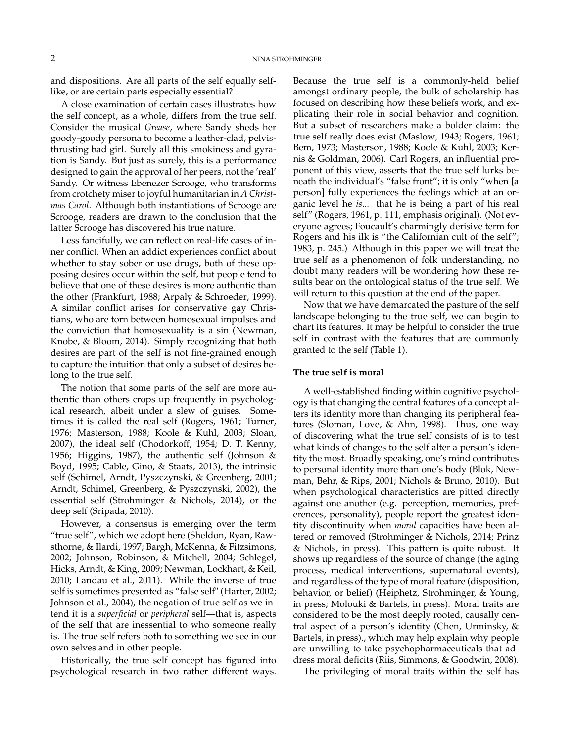and dispositions. Are all parts of the self equally selflike, or are certain parts especially essential?

A close examination of certain cases illustrates how the self concept, as a whole, differs from the true self. Consider the musical *Grease*, where Sandy sheds her goody-goody persona to become a leather-clad, pelvisthrusting bad girl. Surely all this smokiness and gyration is Sandy. But just as surely, this is a performance designed to gain the approval of her peers, not the 'real' Sandy. Or witness Ebenezer Scrooge, who transforms from crotchety miser to joyful humanitarian in *A Christmas Carol*. Although both instantiations of Scrooge are Scrooge, readers are drawn to the conclusion that the latter Scrooge has discovered his true nature.

Less fancifully, we can reflect on real-life cases of inner conflict. When an addict experiences conflict about whether to stay sober or use drugs, both of these opposing desires occur within the self, but people tend to believe that one of these desires is more authentic than the other (Frankfurt, 1988; Arpaly & Schroeder, 1999). A similar conflict arises for conservative gay Christians, who are torn between homosexual impulses and the conviction that homosexuality is a sin (Newman, Knobe, & Bloom, 2014). Simply recognizing that both desires are part of the self is not fine-grained enough to capture the intuition that only a subset of desires belong to the true self.

The notion that some parts of the self are more authentic than others crops up frequently in psychological research, albeit under a slew of guises. Sometimes it is called the real self (Rogers, 1961; Turner, 1976; Masterson, 1988; Koole & Kuhl, 2003; Sloan, 2007), the ideal self (Chodorkoff, 1954; D. T. Kenny, 1956; Higgins, 1987), the authentic self (Johnson & Boyd, 1995; Cable, Gino, & Staats, 2013), the intrinsic self (Schimel, Arndt, Pyszczynski, & Greenberg, 2001; Arndt, Schimel, Greenberg, & Pyszczynski, 2002), the essential self (Strohminger & Nichols, 2014), or the deep self (Sripada, 2010).

However, a consensus is emerging over the term "true self", which we adopt here (Sheldon, Ryan, Rawsthorne, & Ilardi, 1997; Bargh, McKenna, & Fitzsimons, 2002; Johnson, Robinson, & Mitchell, 2004; Schlegel, Hicks, Arndt, & King, 2009; Newman, Lockhart, & Keil, 2010; Landau et al., 2011). While the inverse of true self is sometimes presented as "false self" (Harter, 2002; Johnson et al., 2004), the negation of true self as we intend it is a *superficial* or *peripheral* self—that is, aspects of the self that are inessential to who someone really is. The true self refers both to something we see in our own selves and in other people.

Historically, the true self concept has figured into psychological research in two rather different ways.

Because the true self is a commonly-held belief amongst ordinary people, the bulk of scholarship has focused on describing how these beliefs work, and explicating their role in social behavior and cognition. But a subset of researchers make a bolder claim: the true self really does exist (Maslow, 1943; Rogers, 1961; Bem, 1973; Masterson, 1988; Koole & Kuhl, 2003; Kernis & Goldman, 2006). Carl Rogers, an influential proponent of this view, asserts that the true self lurks beneath the individual's "false front"; it is only "when [a person] fully experiences the feelings which at an organic level he *is*... that he is being a part of his real self" (Rogers, 1961, p. 111, emphasis original). (Not everyone agrees; Foucault's charmingly derisive term for Rogers and his ilk is "the Californian cult of the self"; 1983, p. 245.) Although in this paper we will treat the true self as a phenomenon of folk understanding, no doubt many readers will be wondering how these results bear on the ontological status of the true self. We will return to this question at the end of the paper.

Now that we have demarcated the pasture of the self landscape belonging to the true self, we can begin to chart its features. It may be helpful to consider the true self in contrast with the features that are commonly granted to the self (Table 1).

# **The true self is moral**

A well-established finding within cognitive psychology is that changing the central features of a concept alters its identity more than changing its peripheral features (Sloman, Love, & Ahn, 1998). Thus, one way of discovering what the true self consists of is to test what kinds of changes to the self alter a person's identity the most. Broadly speaking, one's mind contributes to personal identity more than one's body (Blok, Newman, Behr, & Rips, 2001; Nichols & Bruno, 2010). But when psychological characteristics are pitted directly against one another (e.g. perception, memories, preferences, personality), people report the greatest identity discontinuity when *moral* capacities have been altered or removed (Strohminger & Nichols, 2014; Prinz & Nichols, in press). This pattern is quite robust. It shows up regardless of the source of change (the aging process, medical interventions, supernatural events), and regardless of the type of moral feature (disposition, behavior, or belief) (Heiphetz, Strohminger, & Young, in press; Molouki & Bartels, in press). Moral traits are considered to be the most deeply rooted, causally central aspect of a person's identity (Chen, Urminsky, & Bartels, in press)., which may help explain why people are unwilling to take psychopharmaceuticals that address moral deficits (Riis, Simmons, & Goodwin, 2008).

The privileging of moral traits within the self has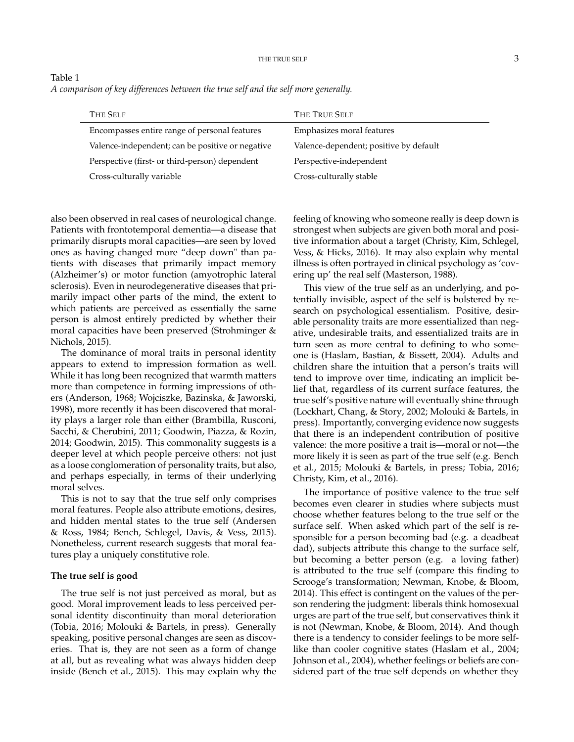| Table 1                                                                            |  |
|------------------------------------------------------------------------------------|--|
| A comparison of key differences between the true self and the self more generally. |  |

| THE TRUE SELF                          |
|----------------------------------------|
| Emphasizes moral features              |
| Valence-dependent; positive by default |
| Perspective-independent                |
| Cross-culturally stable                |
|                                        |

also been observed in real cases of neurological change. Patients with frontotemporal dementia—a disease that primarily disrupts moral capacities—are seen by loved ones as having changed more "deep down" than patients with diseases that primarily impact memory (Alzheimer's) or motor function (amyotrophic lateral sclerosis). Even in neurodegenerative diseases that primarily impact other parts of the mind, the extent to which patients are perceived as essentially the same person is almost entirely predicted by whether their moral capacities have been preserved (Strohminger & Nichols, 2015).

The dominance of moral traits in personal identity appears to extend to impression formation as well. While it has long been recognized that warmth matters more than competence in forming impressions of others (Anderson, 1968; Wojciszke, Bazinska, & Jaworski, 1998), more recently it has been discovered that morality plays a larger role than either (Brambilla, Rusconi, Sacchi, & Cherubini, 2011; Goodwin, Piazza, & Rozin, 2014; Goodwin, 2015). This commonality suggests is a deeper level at which people perceive others: not just as a loose conglomeration of personality traits, but also, and perhaps especially, in terms of their underlying moral selves.

This is not to say that the true self only comprises moral features. People also attribute emotions, desires, and hidden mental states to the true self (Andersen & Ross, 1984; Bench, Schlegel, Davis, & Vess, 2015). Nonetheless, current research suggests that moral features play a uniquely constitutive role.

# **The true self is good**

The true self is not just perceived as moral, but as good. Moral improvement leads to less perceived personal identity discontinuity than moral deterioration (Tobia, 2016; Molouki & Bartels, in press). Generally speaking, positive personal changes are seen as discoveries. That is, they are not seen as a form of change at all, but as revealing what was always hidden deep inside (Bench et al., 2015). This may explain why the feeling of knowing who someone really is deep down is strongest when subjects are given both moral and positive information about a target (Christy, Kim, Schlegel, Vess, & Hicks, 2016). It may also explain why mental illness is often portrayed in clinical psychology as 'covering up' the real self (Masterson, 1988).

This view of the true self as an underlying, and potentially invisible, aspect of the self is bolstered by research on psychological essentialism. Positive, desirable personality traits are more essentialized than negative, undesirable traits, and essentialized traits are in turn seen as more central to defining to who someone is (Haslam, Bastian, & Bissett, 2004). Adults and children share the intuition that a person's traits will tend to improve over time, indicating an implicit belief that, regardless of its current surface features, the true self's positive nature will eventually shine through (Lockhart, Chang, & Story, 2002; Molouki & Bartels, in press). Importantly, converging evidence now suggests that there is an independent contribution of positive valence: the more positive a trait is—moral or not—the more likely it is seen as part of the true self (e.g. Bench et al., 2015; Molouki & Bartels, in press; Tobia, 2016; Christy, Kim, et al., 2016).

The importance of positive valence to the true self becomes even clearer in studies where subjects must choose whether features belong to the true self or the surface self. When asked which part of the self is responsible for a person becoming bad (e.g. a deadbeat dad), subjects attribute this change to the surface self, but becoming a better person (e.g. a loving father) is attributed to the true self (compare this finding to Scrooge's transformation; Newman, Knobe, & Bloom, 2014). This effect is contingent on the values of the person rendering the judgment: liberals think homosexual urges are part of the true self, but conservatives think it is not (Newman, Knobe, & Bloom, 2014). And though there is a tendency to consider feelings to be more selflike than cooler cognitive states (Haslam et al., 2004; Johnson et al., 2004), whether feelings or beliefs are considered part of the true self depends on whether they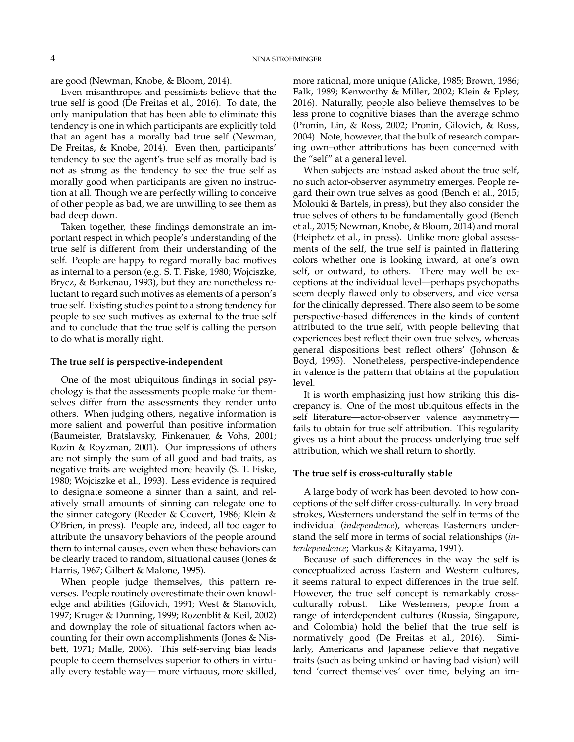are good (Newman, Knobe, & Bloom, 2014).

Even misanthropes and pessimists believe that the true self is good (De Freitas et al., 2016). To date, the only manipulation that has been able to eliminate this tendency is one in which participants are explicitly told that an agent has a morally bad true self (Newman, De Freitas, & Knobe, 2014). Even then, participants' tendency to see the agent's true self as morally bad is not as strong as the tendency to see the true self as morally good when participants are given no instruction at all. Though we are perfectly willing to conceive of other people as bad, we are unwilling to see them as bad deep down.

Taken together, these findings demonstrate an important respect in which people's understanding of the true self is different from their understanding of the self. People are happy to regard morally bad motives as internal to a person (e.g. S. T. Fiske, 1980; Wojciszke, Brycz, & Borkenau, 1993), but they are nonetheless reluctant to regard such motives as elements of a person's true self. Existing studies point to a strong tendency for people to see such motives as external to the true self and to conclude that the true self is calling the person to do what is morally right.

## **The true self is perspective-independent**

One of the most ubiquitous findings in social psychology is that the assessments people make for themselves differ from the assessments they render unto others. When judging others, negative information is more salient and powerful than positive information (Baumeister, Bratslavsky, Finkenauer, & Vohs, 2001; Rozin & Royzman, 2001). Our impressions of others are not simply the sum of all good and bad traits, as negative traits are weighted more heavily (S. T. Fiske, 1980; Wojciszke et al., 1993). Less evidence is required to designate someone a sinner than a saint, and relatively small amounts of sinning can relegate one to the sinner category (Reeder & Coovert, 1986; Klein & O'Brien, in press). People are, indeed, all too eager to attribute the unsavory behaviors of the people around them to internal causes, even when these behaviors can be clearly traced to random, situational causes (Jones & Harris, 1967; Gilbert & Malone, 1995).

When people judge themselves, this pattern reverses. People routinely overestimate their own knowledge and abilities (Gilovich, 1991; West & Stanovich, 1997; Kruger & Dunning, 1999; Rozenblit & Keil, 2002) and downplay the role of situational factors when accounting for their own accomplishments (Jones & Nisbett, 1971; Malle, 2006). This self-serving bias leads people to deem themselves superior to others in virtually every testable way— more virtuous, more skilled, more rational, more unique (Alicke, 1985; Brown, 1986; Falk, 1989; Kenworthy & Miller, 2002; Klein & Epley, 2016). Naturally, people also believe themselves to be less prone to cognitive biases than the average schmo (Pronin, Lin, & Ross, 2002; Pronin, Gilovich, & Ross, 2004). Note, however, that the bulk of research comparing own–other attributions has been concerned with the "self" at a general level.

When subjects are instead asked about the true self, no such actor-observer asymmetry emerges. People regard their own true selves as good (Bench et al., 2015; Molouki & Bartels, in press), but they also consider the true selves of others to be fundamentally good (Bench et al., 2015; Newman, Knobe, & Bloom, 2014) and moral (Heiphetz et al., in press). Unlike more global assessments of the self, the true self is painted in flattering colors whether one is looking inward, at one's own self, or outward, to others. There may well be exceptions at the individual level—perhaps psychopaths seem deeply flawed only to observers, and vice versa for the clinically depressed. There also seem to be some perspective-based differences in the kinds of content attributed to the true self, with people believing that experiences best reflect their own true selves, whereas general dispositions best reflect others' (Johnson & Boyd, 1995). Nonetheless, perspective-independence in valence is the pattern that obtains at the population level.

It is worth emphasizing just how striking this discrepancy is. One of the most ubiquitous effects in the self literature—actor-observer valence asymmetry fails to obtain for true self attribution. This regularity gives us a hint about the process underlying true self attribution, which we shall return to shortly.

## **The true self is cross-culturally stable**

A large body of work has been devoted to how conceptions of the self differ cross-culturally. In very broad strokes, Westerners understand the self in terms of the individual (*independence*), whereas Easterners understand the self more in terms of social relationships (*interdependence*; Markus & Kitayama, 1991).

Because of such differences in the way the self is conceptualized across Eastern and Western cultures, it seems natural to expect differences in the true self. However, the true self concept is remarkably crossculturally robust. Like Westerners, people from a range of interdependent cultures (Russia, Singapore, and Colombia) hold the belief that the true self is normatively good (De Freitas et al., 2016). Similarly, Americans and Japanese believe that negative traits (such as being unkind or having bad vision) will tend 'correct themselves' over time, belying an im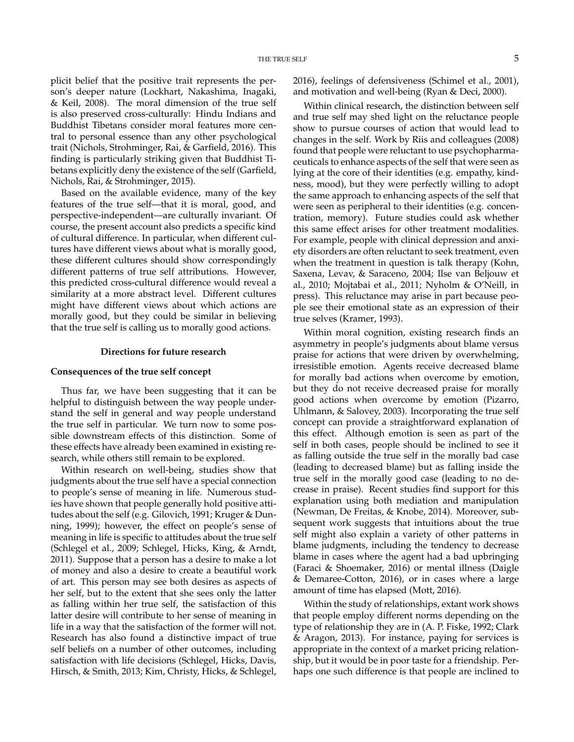plicit belief that the positive trait represents the person's deeper nature (Lockhart, Nakashima, Inagaki, & Keil, 2008). The moral dimension of the true self is also preserved cross-culturally: Hindu Indians and Buddhist Tibetans consider moral features more central to personal essence than any other psychological trait (Nichols, Strohminger, Rai, & Garfield, 2016). This finding is particularly striking given that Buddhist Tibetans explicitly deny the existence of the self (Garfield, Nichols, Rai, & Strohminger, 2015).

Based on the available evidence, many of the key features of the true self—that it is moral, good, and perspective-independent—are culturally invariant. Of course, the present account also predicts a specific kind of cultural difference. In particular, when different cultures have different views about what is morally good, these different cultures should show correspondingly different patterns of true self attributions. However, this predicted cross-cultural difference would reveal a similarity at a more abstract level. Different cultures might have different views about which actions are morally good, but they could be similar in believing that the true self is calling us to morally good actions.

#### **Directions for future research**

# **Consequences of the true self concept**

Thus far, we have been suggesting that it can be helpful to distinguish between the way people understand the self in general and way people understand the true self in particular. We turn now to some possible downstream effects of this distinction. Some of these effects have already been examined in existing research, while others still remain to be explored.

Within research on well-being, studies show that judgments about the true self have a special connection to people's sense of meaning in life. Numerous studies have shown that people generally hold positive attitudes about the self (e.g. Gilovich, 1991; Kruger & Dunning, 1999); however, the effect on people's sense of meaning in life is specific to attitudes about the true self (Schlegel et al., 2009; Schlegel, Hicks, King, & Arndt, 2011). Suppose that a person has a desire to make a lot of money and also a desire to create a beautiful work of art. This person may see both desires as aspects of her self, but to the extent that she sees only the latter as falling within her true self, the satisfaction of this latter desire will contribute to her sense of meaning in life in a way that the satisfaction of the former will not. Research has also found a distinctive impact of true self beliefs on a number of other outcomes, including satisfaction with life decisions (Schlegel, Hicks, Davis, Hirsch, & Smith, 2013; Kim, Christy, Hicks, & Schlegel,

2016), feelings of defensiveness (Schimel et al., 2001), and motivation and well-being (Ryan & Deci, 2000).

Within clinical research, the distinction between self and true self may shed light on the reluctance people show to pursue courses of action that would lead to changes in the self. Work by Riis and colleagues (2008) found that people were reluctant to use psychopharmaceuticals to enhance aspects of the self that were seen as lying at the core of their identities (e.g. empathy, kindness, mood), but they were perfectly willing to adopt the same approach to enhancing aspects of the self that were seen as peripheral to their identities (e.g. concentration, memory). Future studies could ask whether this same effect arises for other treatment modalities. For example, people with clinical depression and anxiety disorders are often reluctant to seek treatment, even when the treatment in question is talk therapy (Kohn, Saxena, Levav, & Saraceno, 2004; Ilse van Beljouw et al., 2010; Mojtabai et al., 2011; Nyholm & O'Neill, in press). This reluctance may arise in part because people see their emotional state as an expression of their true selves (Kramer, 1993).

Within moral cognition, existing research finds an asymmetry in people's judgments about blame versus praise for actions that were driven by overwhelming, irresistible emotion. Agents receive decreased blame for morally bad actions when overcome by emotion, but they do not receive decreased praise for morally good actions when overcome by emotion (Pizarro, Uhlmann, & Salovey, 2003). Incorporating the true self concept can provide a straightforward explanation of this effect. Although emotion is seen as part of the self in both cases, people should be inclined to see it as falling outside the true self in the morally bad case (leading to decreased blame) but as falling inside the true self in the morally good case (leading to no decrease in praise). Recent studies find support for this explanation using both mediation and manipulation (Newman, De Freitas, & Knobe, 2014). Moreover, subsequent work suggests that intuitions about the true self might also explain a variety of other patterns in blame judgments, including the tendency to decrease blame in cases where the agent had a bad upbringing (Faraci & Shoemaker, 2016) or mental illness (Daigle & Demaree-Cotton, 2016), or in cases where a large amount of time has elapsed (Mott, 2016).

Within the study of relationships, extant work shows that people employ different norms depending on the type of relationship they are in (A. P. Fiske, 1992; Clark & Aragon, 2013). For instance, paying for services is appropriate in the context of a market pricing relationship, but it would be in poor taste for a friendship. Perhaps one such difference is that people are inclined to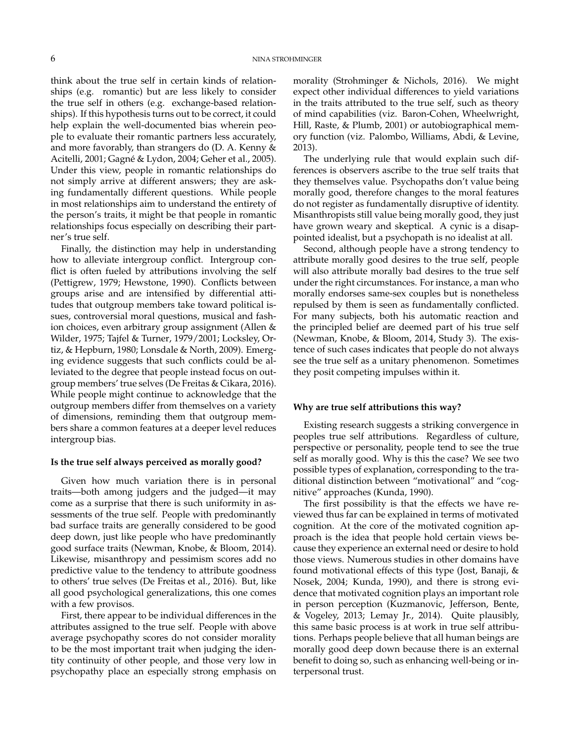think about the true self in certain kinds of relationships (e.g. romantic) but are less likely to consider the true self in others (e.g. exchange-based relationships). If this hypothesis turns out to be correct, it could help explain the well-documented bias wherein people to evaluate their romantic partners less accurately, and more favorably, than strangers do (D. A. Kenny & Acitelli, 2001; Gagné & Lydon, 2004; Geher et al., 2005). Under this view, people in romantic relationships do not simply arrive at different answers; they are asking fundamentally different questions. While people in most relationships aim to understand the entirety of the person's traits, it might be that people in romantic relationships focus especially on describing their partner's true self.

Finally, the distinction may help in understanding how to alleviate intergroup conflict. Intergroup conflict is often fueled by attributions involving the self (Pettigrew, 1979; Hewstone, 1990). Conflicts between groups arise and are intensified by differential attitudes that outgroup members take toward political issues, controversial moral questions, musical and fashion choices, even arbitrary group assignment (Allen & Wilder, 1975; Tajfel & Turner, 1979/2001; Locksley, Ortiz, & Hepburn, 1980; Lonsdale & North, 2009). Emerging evidence suggests that such conflicts could be alleviated to the degree that people instead focus on outgroup members' true selves (De Freitas & Cikara, 2016). While people might continue to acknowledge that the outgroup members differ from themselves on a variety of dimensions, reminding them that outgroup members share a common features at a deeper level reduces intergroup bias.

#### **Is the true self always perceived as morally good?**

Given how much variation there is in personal traits—both among judgers and the judged—it may come as a surprise that there is such uniformity in assessments of the true self. People with predominantly bad surface traits are generally considered to be good deep down, just like people who have predominantly good surface traits (Newman, Knobe, & Bloom, 2014). Likewise, misanthropy and pessimism scores add no predictive value to the tendency to attribute goodness to others' true selves (De Freitas et al., 2016). But, like all good psychological generalizations, this one comes with a few provisos.

First, there appear to be individual differences in the attributes assigned to the true self. People with above average psychopathy scores do not consider morality to be the most important trait when judging the identity continuity of other people, and those very low in psychopathy place an especially strong emphasis on

morality (Strohminger & Nichols, 2016). We might expect other individual differences to yield variations in the traits attributed to the true self, such as theory of mind capabilities (viz. Baron-Cohen, Wheelwright, Hill, Raste, & Plumb, 2001) or autobiographical memory function (viz. Palombo, Williams, Abdi, & Levine, 2013).

The underlying rule that would explain such differences is observers ascribe to the true self traits that they themselves value. Psychopaths don't value being morally good, therefore changes to the moral features do not register as fundamentally disruptive of identity. Misanthropists still value being morally good, they just have grown weary and skeptical. A cynic is a disappointed idealist, but a psychopath is no idealist at all.

Second, although people have a strong tendency to attribute morally good desires to the true self, people will also attribute morally bad desires to the true self under the right circumstances. For instance, a man who morally endorses same-sex couples but is nonetheless repulsed by them is seen as fundamentally conflicted. For many subjects, both his automatic reaction and the principled belief are deemed part of his true self (Newman, Knobe, & Bloom, 2014, Study 3). The existence of such cases indicates that people do not always see the true self as a unitary phenomenon. Sometimes they posit competing impulses within it.

# **Why are true self attributions this way?**

Existing research suggests a striking convergence in peoples true self attributions. Regardless of culture, perspective or personality, people tend to see the true self as morally good. Why is this the case? We see two possible types of explanation, corresponding to the traditional distinction between "motivational" and "cognitive" approaches (Kunda, 1990).

The first possibility is that the effects we have reviewed thus far can be explained in terms of motivated cognition. At the core of the motivated cognition approach is the idea that people hold certain views because they experience an external need or desire to hold those views. Numerous studies in other domains have found motivational effects of this type (Jost, Banaji, & Nosek, 2004; Kunda, 1990), and there is strong evidence that motivated cognition plays an important role in person perception (Kuzmanovic, Jefferson, Bente, & Vogeley, 2013; Lemay Jr., 2014). Quite plausibly, this same basic process is at work in true self attributions. Perhaps people believe that all human beings are morally good deep down because there is an external benefit to doing so, such as enhancing well-being or interpersonal trust.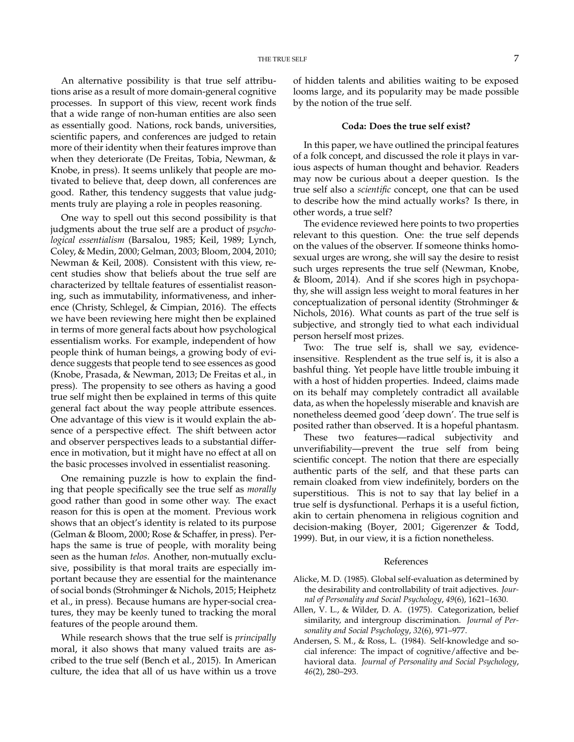An alternative possibility is that true self attributions arise as a result of more domain-general cognitive processes. In support of this view, recent work finds that a wide range of non-human entities are also seen as essentially good. Nations, rock bands, universities, scientific papers, and conferences are judged to retain more of their identity when their features improve than when they deteriorate (De Freitas, Tobia, Newman, & Knobe, in press). It seems unlikely that people are motivated to believe that, deep down, all conferences are good. Rather, this tendency suggests that value judgments truly are playing a role in peoples reasoning.

One way to spell out this second possibility is that judgments about the true self are a product of *psychological essentialism* (Barsalou, 1985; Keil, 1989; Lynch, Coley, & Medin, 2000; Gelman, 2003; Bloom, 2004, 2010; Newman & Keil, 2008). Consistent with this view, recent studies show that beliefs about the true self are characterized by telltale features of essentialist reasoning, such as immutability, informativeness, and inherence (Christy, Schlegel, & Cimpian, 2016). The effects we have been reviewing here might then be explained in terms of more general facts about how psychological essentialism works. For example, independent of how people think of human beings, a growing body of evidence suggests that people tend to see essences as good (Knobe, Prasada, & Newman, 2013; De Freitas et al., in press). The propensity to see others as having a good true self might then be explained in terms of this quite general fact about the way people attribute essences. One advantage of this view is it would explain the absence of a perspective effect. The shift between actor and observer perspectives leads to a substantial difference in motivation, but it might have no effect at all on the basic processes involved in essentialist reasoning.

One remaining puzzle is how to explain the finding that people specifically see the true self as *morally* good rather than good in some other way. The exact reason for this is open at the moment. Previous work shows that an object's identity is related to its purpose (Gelman & Bloom, 2000; Rose & Schaffer, in press). Perhaps the same is true of people, with morality being seen as the human *telos*. Another, non-mutually exclusive, possibility is that moral traits are especially important because they are essential for the maintenance of social bonds (Strohminger & Nichols, 2015; Heiphetz et al., in press). Because humans are hyper-social creatures, they may be keenly tuned to tracking the moral features of the people around them.

While research shows that the true self is *principally* moral, it also shows that many valued traits are ascribed to the true self (Bench et al., 2015). In American culture, the idea that all of us have within us a trove

of hidden talents and abilities waiting to be exposed looms large, and its popularity may be made possible by the notion of the true self.

### **Coda: Does the true self exist?**

In this paper, we have outlined the principal features of a folk concept, and discussed the role it plays in various aspects of human thought and behavior. Readers may now be curious about a deeper question. Is the true self also a *scientific* concept, one that can be used to describe how the mind actually works? Is there, in other words, a true self?

The evidence reviewed here points to two properties relevant to this question. One: the true self depends on the values of the observer. If someone thinks homosexual urges are wrong, she will say the desire to resist such urges represents the true self (Newman, Knobe, & Bloom, 2014). And if she scores high in psychopathy, she will assign less weight to moral features in her conceptualization of personal identity (Strohminger & Nichols, 2016). What counts as part of the true self is subjective, and strongly tied to what each individual person herself most prizes.

Two: The true self is, shall we say, evidenceinsensitive. Resplendent as the true self is, it is also a bashful thing. Yet people have little trouble imbuing it with a host of hidden properties. Indeed, claims made on its behalf may completely contradict all available data, as when the hopelessly miserable and knavish are nonetheless deemed good 'deep down'. The true self is posited rather than observed. It is a hopeful phantasm.

These two features—radical subjectivity and unverifiability—prevent the true self from being scientific concept. The notion that there are especially authentic parts of the self, and that these parts can remain cloaked from view indefinitely, borders on the superstitious. This is not to say that lay belief in a true self is dysfunctional. Perhaps it is a useful fiction, akin to certain phenomena in religious cognition and decision-making (Boyer, 2001; Gigerenzer & Todd, 1999). But, in our view, it is a fiction nonetheless.

#### References

- Alicke, M. D. (1985). Global self-evaluation as determined by the desirability and controllability of trait adjectives. *Journal of Personality and Social Psychology*, *49*(6), 1621–1630.
- Allen, V. L., & Wilder, D. A. (1975). Categorization, belief similarity, and intergroup discrimination. *Journal of Personality and Social Psychology*, *32*(6), 971–977.
- Andersen, S. M., & Ross, L. (1984). Self-knowledge and social inference: The impact of cognitive/affective and behavioral data. *Journal of Personality and Social Psychology*, *46*(2), 280–293.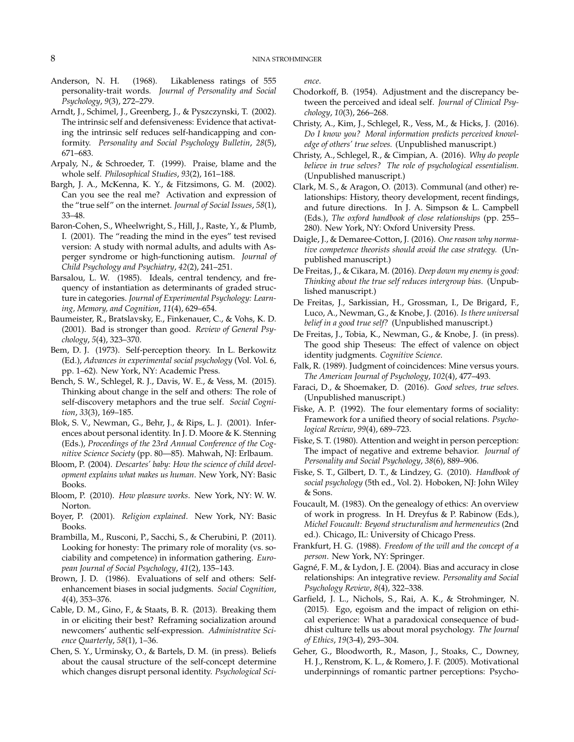- Anderson, N. H. (1968). Likableness ratings of 555 personality-trait words. *Journal of Personality and Social Psychology*, *9*(3), 272–279.
- Arndt, J., Schimel, J., Greenberg, J., & Pyszczynski, T. (2002). The intrinsic self and defensiveness: Evidence that activating the intrinsic self reduces self-handicapping and conformity. *Personality and Social Psychology Bulletin*, *28*(5), 671–683.
- Arpaly, N., & Schroeder, T. (1999). Praise, blame and the whole self. *Philosophical Studies*, *93*(2), 161–188.
- Bargh, J. A., McKenna, K. Y., & Fitzsimons, G. M. (2002). Can you see the real me? Activation and expression of the "true self" on the internet. *Journal of Social Issues*, *58*(1), 33–48.
- Baron-Cohen, S., Wheelwright, S., Hill, J., Raste, Y., & Plumb, I. (2001). The "reading the mind in the eyes" test revised version: A study with normal adults, and adults with Asperger syndrome or high-functioning autism. *Journal of Child Psychology and Psychiatry*, *42*(2), 241–251.
- Barsalou, L. W. (1985). Ideals, central tendency, and frequency of instantiation as determinants of graded structure in categories. *Journal of Experimental Psychology: Learning, Memory, and Cognition*, *11*(4), 629–654.
- Baumeister, R., Bratslavsky, E., Finkenauer, C., & Vohs, K. D. (2001). Bad is stronger than good. *Review of General Psychology*, *5*(4), 323–370.
- Bem, D. J. (1973). Self-perception theory. In L. Berkowitz (Ed.), *Advances in experimental social psychology* (Vol. Vol. 6, pp. 1–62). New York, NY: Academic Press.
- Bench, S. W., Schlegel, R. J., Davis, W. E., & Vess, M. (2015). Thinking about change in the self and others: The role of self-discovery metaphors and the true self. *Social Cognition*, *33*(3), 169–185.
- Blok, S. V., Newman, G., Behr, J., & Rips, L. J. (2001). Inferences about personal identity. In J. D. Moore & K. Stenning (Eds.), *Proceedings of the 23rd Annual Conference of the Cognitive Science Society* (pp. 80—85). Mahwah, NJ: Erlbaum.
- Bloom, P. (2004). *Descartes' baby: How the science of child development explains what makes us human*. New York, NY: Basic Books.
- Bloom, P. (2010). *How pleasure works*. New York, NY: W. W. Norton.
- Boyer, P. (2001). *Religion explained*. New York, NY: Basic Books.
- Brambilla, M., Rusconi, P., Sacchi, S., & Cherubini, P. (2011). Looking for honesty: The primary role of morality (vs. sociability and competence) in information gathering. *European Journal of Social Psychology*, *41*(2), 135–143.
- Brown, J. D. (1986). Evaluations of self and others: Selfenhancement biases in social judgments. *Social Cognition*, *4*(4), 353–376.
- Cable, D. M., Gino, F., & Staats, B. R. (2013). Breaking them in or eliciting their best? Reframing socialization around newcomers' authentic self-expression. *Administrative Science Quarterly*, *58*(1), 1–36.
- Chen, S. Y., Urminsky, O., & Bartels, D. M. (in press). Beliefs about the causal structure of the self-concept determine which changes disrupt personal identity. *Psychological Sci-*

*ence*.

- Chodorkoff, B. (1954). Adjustment and the discrepancy between the perceived and ideal self. *Journal of Clinical Psychology*, *10*(3), 266–268.
- Christy, A., Kim, J., Schlegel, R., Vess, M., & Hicks, J. (2016). *Do I know you? Moral information predicts perceived knowledge of others' true selves.* (Unpublished manuscript.)
- Christy, A., Schlegel, R., & Cimpian, A. (2016). *Why do people believe in true selves? The role of psychological essentialism.* (Unpublished manuscript.)
- Clark, M. S., & Aragon, O. (2013). Communal (and other) relationships: History, theory development, recent findings, and future directions. In J. A. Simpson & L. Campbell (Eds.), *The oxford handbook of close relationships* (pp. 255– 280). New York, NY: Oxford University Press.
- Daigle, J., & Demaree-Cotton, J. (2016). *One reason why normative competence theorists should avoid the case strategy.* (Unpublished manuscript.)
- De Freitas, J., & Cikara, M. (2016). *Deep down my enemy is good: Thinking about the true self reduces intergroup bias.* (Unpublished manuscript.)
- De Freitas, J., Sarkissian, H., Grossman, I., De Brigard, F., Luco, A., Newman, G., & Knobe, J. (2016). *Is there universal belief in a good true self?* (Unpublished manuscript.)
- De Freitas, J., Tobia, K., Newman, G., & Knobe, J. (in press). The good ship Theseus: The effect of valence on object identity judgments. *Cognitive Science*.
- Falk, R. (1989). Judgment of coincidences: Mine versus yours. *The American Journal of Psychology*, *102*(4), 477–493.
- Faraci, D., & Shoemaker, D. (2016). *Good selves, true selves.* (Unpublished manuscript.)
- Fiske, A. P. (1992). The four elementary forms of sociality: Framework for a unified theory of social relations. *Psychological Review*, *99*(4), 689–723.
- Fiske, S. T. (1980). Attention and weight in person perception: The impact of negative and extreme behavior. *Journal of Personality and Social Psychology*, *38*(6), 889–906.
- Fiske, S. T., Gilbert, D. T., & Lindzey, G. (2010). *Handbook of social psychology* (5th ed., Vol. 2). Hoboken, NJ: John Wiley  $&$  Sons.
- Foucault, M. (1983). On the genealogy of ethics: An overview of work in progress. In H. Dreyfus & P. Rabinow (Eds.), *Michel Foucault: Beyond structuralism and hermeneutics* (2nd ed.). Chicago, IL: University of Chicago Press.
- Frankfurt, H. G. (1988). *Freedom of the will and the concept of a person*. New York, NY: Springer.
- Gagné, F. M., & Lydon, J. E. (2004). Bias and accuracy in close relationships: An integrative review. *Personality and Social Psychology Review*, *8*(4), 322–338.
- Garfield, J. L., Nichols, S., Rai, A. K., & Strohminger, N. (2015). Ego, egoism and the impact of religion on ethical experience: What a paradoxical consequence of buddhist culture tells us about moral psychology. *The Journal of Ethics*, *19*(3-4), 293–304.
- Geher, G., Bloodworth, R., Mason, J., Stoaks, C., Downey, H. J., Renstrom, K. L., & Romero, J. F. (2005). Motivational underpinnings of romantic partner perceptions: Psycho-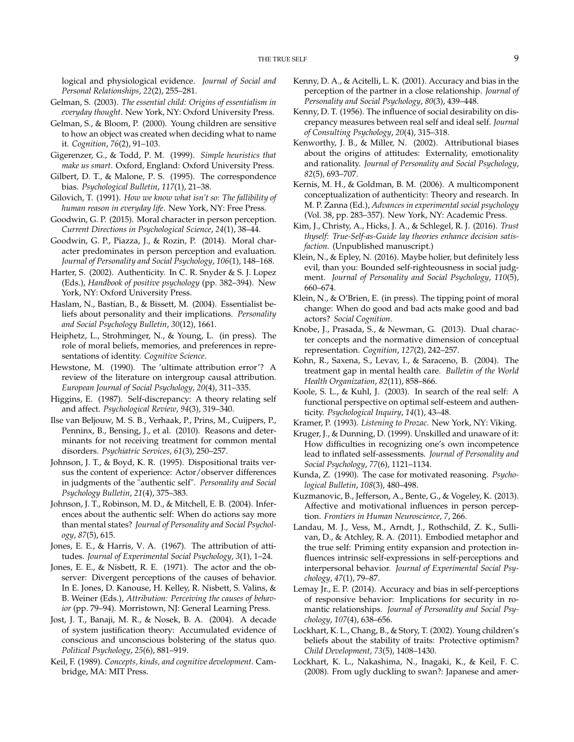logical and physiological evidence. *Journal of Social and Personal Relationships*, *22*(2), 255–281.

- Gelman, S. (2003). *The essential child: Origins of essentialism in everyday thought*. New York, NY: Oxford University Press.
- Gelman, S., & Bloom, P. (2000). Young children are sensitive to how an object was created when deciding what to name it. *Cognition*, *76*(2), 91–103.
- Gigerenzer, G., & Todd, P. M. (1999). *Simple heuristics that make us smart*. Oxford, England: Oxford University Press.
- Gilbert, D. T., & Malone, P. S. (1995). The correspondence bias. *Psychological Bulletin*, *117*(1), 21–38.
- Gilovich, T. (1991). *How we know what isn't so: The fallibility of human reason in everyday life*. New York, NY: Free Press.
- Goodwin, G. P. (2015). Moral character in person perception. *Current Directions in Psychological Science*, *24*(1), 38–44.
- Goodwin, G. P., Piazza, J., & Rozin, P. (2014). Moral character predominates in person perception and evaluation. *Journal of Personality and Social Psychology*, *106*(1), 148–168.
- Harter, S. (2002). Authenticity. In C. R. Snyder & S. J. Lopez (Eds.), *Handbook of positive psychology* (pp. 382–394). New York, NY: Oxford University Press.
- Haslam, N., Bastian, B., & Bissett, M. (2004). Essentialist beliefs about personality and their implications. *Personality and Social Psychology Bulletin*, *30*(12), 1661.
- Heiphetz, L., Strohminger, N., & Young, L. (in press). The role of moral beliefs, memories, and preferences in representations of identity. *Cognitive Science*.
- Hewstone, M. (1990). The 'ultimate attribution error'? A review of the literature on intergroup causal attribution. *European Journal of Social Psychology*, *20*(4), 311–335.
- Higgins, E. (1987). Self-discrepancy: A theory relating self and affect. *Psychological Review*, *94*(3), 319–340.
- Ilse van Beljouw, M. S. B., Verhaak, P., Prins, M., Cuijpers, P., Penninx, B., Bensing, J., et al. (2010). Reasons and determinants for not receiving treatment for common mental disorders. *Psychiatric Services*, *61*(3), 250–257.
- Johnson, J. T., & Boyd, K. R. (1995). Dispositional traits versus the content of experience: Actor/observer differences in judgments of the "authentic self". *Personality and Social Psychology Bulletin*, *21*(4), 375–383.
- Johnson, J. T., Robinson, M. D., & Mitchell, E. B. (2004). Inferences about the authentic self: When do actions say more than mental states? *Journal of Personality and Social Psychology*, *87*(5), 615.
- Jones, E. E., & Harris, V. A. (1967). The attribution of attitudes. *Journal of Experimental Social Psychology*, *3*(1), 1–24.
- Jones, E. E., & Nisbett, R. E. (1971). The actor and the observer: Divergent perceptions of the causes of behavior. In E. Jones, D. Kanouse, H. Kelley, R. Nisbett, S. Valins, & B. Weiner (Eds.), *Attribution: Perceiving the causes of behavior* (pp. 79–94). Morristown, NJ: General Learning Press.
- Jost, J. T., Banaji, M. R., & Nosek, B. A. (2004). A decade of system justification theory: Accumulated evidence of conscious and unconscious bolstering of the status quo. *Political Psychology*, *25*(6), 881–919.
- Keil, F. (1989). *Concepts, kinds, and cognitive development*. Cambridge, MA: MIT Press.
- Kenny, D. A., & Acitelli, L. K. (2001). Accuracy and bias in the perception of the partner in a close relationship. *Journal of Personality and Social Psychology*, *80*(3), 439–448.
- Kenny, D. T. (1956). The influence of social desirability on discrepancy measures between real self and ideal self. *Journal of Consulting Psychology*, *20*(4), 315–318.
- Kenworthy, J. B., & Miller, N. (2002). Attributional biases about the origins of attitudes: Externality, emotionality and rationality. *Journal of Personality and Social Psychology*, *82*(5), 693–707.
- Kernis, M. H., & Goldman, B. M. (2006). A multicomponent conceptualization of authenticity: Theory and research. In M. P. Zanna (Ed.), *Advances in experimental social psychology* (Vol. 38, pp. 283–357). New York, NY: Academic Press.
- Kim, J., Christy, A., Hicks, J. A., & Schlegel, R. J. (2016). *Trust thyself: True-Self-as-Guide lay theories enhance decision satisfaction.* (Unpublished manuscript.)
- Klein, N., & Epley, N. (2016). Maybe holier, but definitely less evil, than you: Bounded self-righteousness in social judgment. *Journal of Personality and Social Psychology*, *110*(5), 660–674.
- Klein, N., & O'Brien, E. (in press). The tipping point of moral change: When do good and bad acts make good and bad actors? *Social Cognition*.
- Knobe, J., Prasada, S., & Newman, G. (2013). Dual character concepts and the normative dimension of conceptual representation. *Cognition*, *127*(2), 242–257.
- Kohn, R., Saxena, S., Levav, I., & Saraceno, B. (2004). The treatment gap in mental health care. *Bulletin of the World Health Organization*, *82*(11), 858–866.
- Koole, S. L., & Kuhl, J. (2003). In search of the real self: A functional perspective on optimal self-esteem and authenticity. *Psychological Inquiry*, *14*(1), 43–48.
- Kramer, P. (1993). *Listening to Prozac*. New York, NY: Viking.
- Kruger, J., & Dunning, D. (1999). Unskilled and unaware of it: How difficulties in recognizing one's own incompetence lead to inflated self-assessments. *Journal of Personality and Social Psychology*, *77*(6), 1121–1134.
- Kunda, Z. (1990). The case for motivated reasoning. *Psychological Bulletin*, *108*(3), 480–498.
- Kuzmanovic, B., Jefferson, A., Bente, G., & Vogeley, K. (2013). Affective and motivational influences in person perception. *Frontiers in Human Neuroscience*, *7*, 266.
- Landau, M. J., Vess, M., Arndt, J., Rothschild, Z. K., Sullivan, D., & Atchley, R. A. (2011). Embodied metaphor and the true self: Priming entity expansion and protection influences intrinsic self-expressions in self-perceptions and interpersonal behavior. *Journal of Experimental Social Psychology*, *47*(1), 79–87.
- Lemay Jr., E. P. (2014). Accuracy and bias in self-perceptions of responsive behavior: Implications for security in romantic relationships. *Journal of Personality and Social Psychology*, *107*(4), 638–656.
- Lockhart, K. L., Chang, B., & Story, T. (2002). Young children's beliefs about the stability of traits: Protective optimism? *Child Development*, *73*(5), 1408–1430.
- Lockhart, K. L., Nakashima, N., Inagaki, K., & Keil, F. C. (2008). From ugly duckling to swan?: Japanese and amer-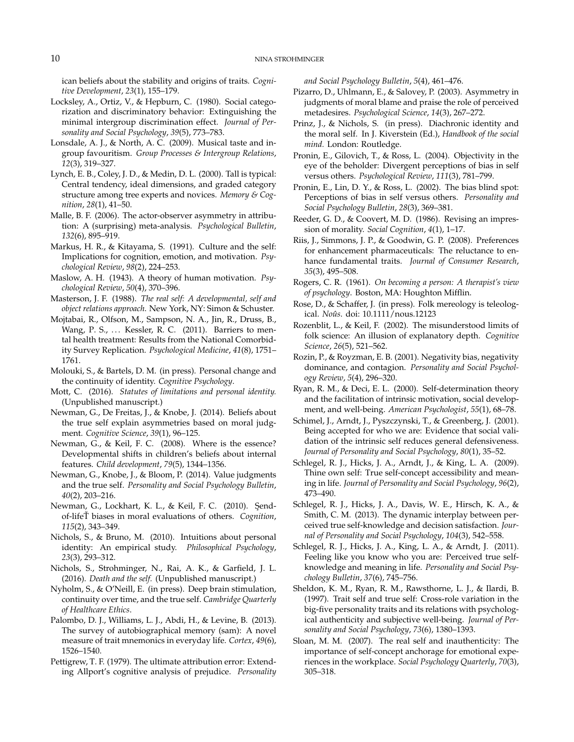ican beliefs about the stability and origins of traits. *Cognitive Development*, *23*(1), 155–179.

- Locksley, A., Ortiz, V., & Hepburn, C. (1980). Social categorization and discriminatory behavior: Extinguishing the minimal intergroup discrimination effect. *Journal of Personality and Social Psychology*, *39*(5), 773–783.
- Lonsdale, A. J., & North, A. C. (2009). Musical taste and ingroup favouritism. *Group Processes & Intergroup Relations*, *12*(3), 319–327.
- Lynch, E. B., Coley, J. D., & Medin, D. L. (2000). Tall is typical: Central tendency, ideal dimensions, and graded category structure among tree experts and novices. *Memory & Cognition*, *28*(1), 41–50.
- Malle, B. F. (2006). The actor-observer asymmetry in attribution: A (surprising) meta-analysis. *Psychological Bulletin*, *132*(6), 895–919.
- Markus, H. R., & Kitayama, S. (1991). Culture and the self: Implications for cognition, emotion, and motivation. *Psychological Review*, *98*(2), 224–253.
- Maslow, A. H. (1943). A theory of human motivation. *Psychological Review*, *50*(4), 370–396.
- Masterson, J. F. (1988). *The real self: A developmental, self and object relations approach*. New York, NY: Simon & Schuster.
- Mojtabai, R., Olfson, M., Sampson, N. A., Jin, R., Druss, B., Wang, P. S., ... Kessler, R. C. (2011). Barriers to mental health treatment: Results from the National Comorbidity Survey Replication. *Psychological Medicine*, *41*(8), 1751– 1761.
- Molouki, S., & Bartels, D. M. (in press). Personal change and the continuity of identity. *Cognitive Psychology*.
- Mott, C. (2016). *Statutes of limitations and personal identity.* (Unpublished manuscript.)
- Newman, G., De Freitas, J., & Knobe, J. (2014). Beliefs about the true self explain asymmetries based on moral judgment. *Cognitive Science*, *39*(1), 96–125.
- Newman, G., & Keil, F. C. (2008). Where is the essence? Developmental shifts in children's beliefs about internal features. *Child development*, *79*(5), 1344–1356.
- Newman, G., Knobe, J., & Bloom, P. (2014). Value judgments and the true self. *Personality and Social Psychology Bulletin*, *40*(2), 203–216.
- Newman, G., Lockhart, K. L., & Keil, F. C. (2010). Şendof-lifeT biases in moral evaluations of others. ˇ *Cognition*, *115*(2), 343–349.
- Nichols, S., & Bruno, M. (2010). Intuitions about personal identity: An empirical study. *Philosophical Psychology*, *23*(3), 293–312.
- Nichols, S., Strohminger, N., Rai, A. K., & Garfield, J. L. (2016). *Death and the self.* (Unpublished manuscript.)
- Nyholm, S., & O'Neill, E. (in press). Deep brain stimulation, continuity over time, and the true self. *Cambridge Quarterly of Healthcare Ethics*.
- Palombo, D. J., Williams, L. J., Abdi, H., & Levine, B. (2013). The survey of autobiographical memory (sam): A novel measure of trait mnemonics in everyday life. *Cortex*, *49*(6), 1526–1540.
- Pettigrew, T. F. (1979). The ultimate attribution error: Extending Allport's cognitive analysis of prejudice. *Personality*

*and Social Psychology Bulletin*, *5*(4), 461–476.

- Pizarro, D., Uhlmann, E., & Salovey, P. (2003). Asymmetry in judgments of moral blame and praise the role of perceived metadesires. *Psychological Science*, *14*(3), 267–272.
- Prinz, J., & Nichols, S. (in press). Diachronic identity and the moral self. In J. Kiverstein (Ed.), *Handbook of the social mind.* London: Routledge.
- Pronin, E., Gilovich, T., & Ross, L. (2004). Objectivity in the eye of the beholder: Divergent perceptions of bias in self versus others. *Psychological Review*, *111*(3), 781–799.
- Pronin, E., Lin, D. Y., & Ross, L. (2002). The bias blind spot: Perceptions of bias in self versus others. *Personality and Social Psychology Bulletin*, *28*(3), 369–381.
- Reeder, G. D., & Coovert, M. D. (1986). Revising an impression of morality. *Social Cognition*, *4*(1), 1–17.
- Riis, J., Simmons, J. P., & Goodwin, G. P. (2008). Preferences for enhancement pharmaceuticals: The reluctance to enhance fundamental traits. *Journal of Consumer Research*, *35*(3), 495–508.
- Rogers, C. R. (1961). *On becoming a person: A therapist's view of psychology*. Boston, MA: Houghton Mifflin.
- Rose, D., & Schaffer, J. (in press). Folk mereology is teleological. *Noûs*. doi: 10.1111/nous.12123
- Rozenblit, L., & Keil, F. (2002). The misunderstood limits of folk science: An illusion of explanatory depth. *Cognitive Science*, *26*(5), 521–562.
- Rozin, P., & Royzman, E. B. (2001). Negativity bias, negativity dominance, and contagion. *Personality and Social Psychology Review*, *5*(4), 296–320.
- Ryan, R. M., & Deci, E. L. (2000). Self-determination theory and the facilitation of intrinsic motivation, social development, and well-being. *American Psychologist*, *55*(1), 68–78.
- Schimel, J., Arndt, J., Pyszczynski, T., & Greenberg, J. (2001). Being accepted for who we are: Evidence that social validation of the intrinsic self reduces general defensiveness. *Journal of Personality and Social Psychology*, *80*(1), 35–52.
- Schlegel, R. J., Hicks, J. A., Arndt, J., & King, L. A. (2009). Thine own self: True self-concept accessibility and meaning in life. *Journal of Personality and Social Psychology*, *96*(2), 473–490.
- Schlegel, R. J., Hicks, J. A., Davis, W. E., Hirsch, K. A., & Smith, C. M. (2013). The dynamic interplay between perceived true self-knowledge and decision satisfaction. *Journal of Personality and Social Psychology*, *104*(3), 542–558.
- Schlegel, R. J., Hicks, J. A., King, L. A., & Arndt, J. (2011). Feeling like you know who you are: Perceived true selfknowledge and meaning in life. *Personality and Social Psychology Bulletin*, *37*(6), 745–756.
- Sheldon, K. M., Ryan, R. M., Rawsthorne, L. J., & Ilardi, B. (1997). Trait self and true self: Cross-role variation in the big-five personality traits and its relations with psychological authenticity and subjective well-being. *Journal of Personality and Social Psychology*, *73*(6), 1380–1393.
- Sloan, M. M. (2007). The real self and inauthenticity: The importance of self-concept anchorage for emotional experiences in the workplace. *Social Psychology Quarterly*, *70*(3), 305–318.